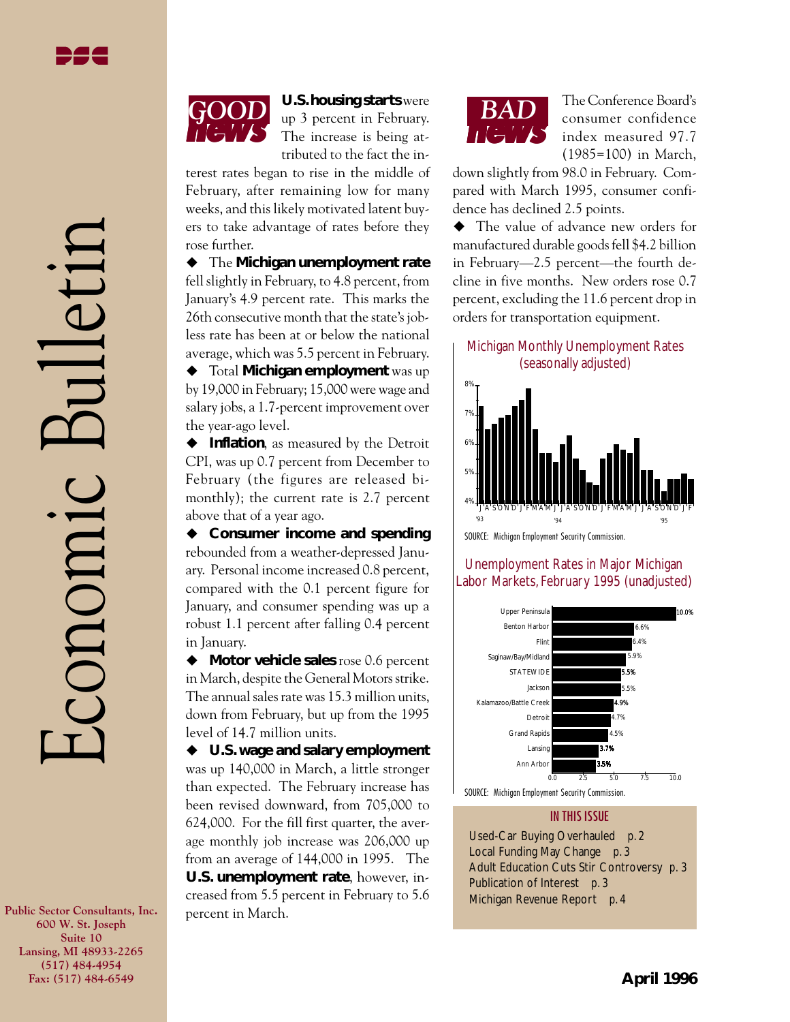**Public Sector Consultants, Inc. 600 W. St. Joseph Suite 10 Lansing, MI 48933-2265 (517) 484-4954 Fax: (517) 484-6549**

# *news GOOD* **U.S. housing starts** were

up 3 percent in February. The increase is being attributed to the fact the in-

terest rates began to rise in the middle of February, after remaining low for many weeks, and this likely motivated latent buyers to take advantage of rates before they rose further.

 $\blacklozenge$  The Michigan unemployment rate fell slightly in February, to 4.8 percent, from January's 4.9 percent rate. This marks the 26th consecutive month that the state's jobless rate has been at or below the national average, which was 5.5 percent in February.

◆ Total **Michigan employment** was up by 19,000 in February; 15,000 were wage and salary jobs, a 1.7-percent improvement over the year-ago level.

◆ Inflation, as measured by the Detroit CPI, was up 0.7 percent from December to February (the figures are released bimonthly); the current rate is 2.7 percent above that of a year ago.

♦ Consumer income and spending rebounded from a weather-depressed January. Personal income increased 0.8 percent, compared with the 0.1 percent figure for January, and consumer spending was up a robust 1.1 percent after falling 0.4 percent in January.

◆ Motor vehicle sales rose 0.6 percent in March, despite the General Motors strike. The annual sales rate was 15.3 million units, down from February, but up from the 1995 level of 14.7 million units.

◆ U.S. wage and salary employment was up 140,000 in March, a little stronger than expected. The February increase has been revised downward, from 705,000 to 624,000. For the fill first quarter, the average monthly job increase was 206,000 up from an average of 144,000 in 1995. The **U.S. unemployment rate**, however, increased from 5.5 percent in February to 5.6 percent in March.



The Conference Board's consumer confidence index measured 97.7 (1985=100) in March,

down slightly from 98.0 in February. Compared with March 1995, consumer confidence has declined 2.5 points.

• The value of advance new orders for manufactured durable goods fell \$4.2 billion in February—2.5 percent—the fourth decline in five months. New orders rose 0.7 percent, excluding the 11.6 percent drop in orders for transportation equipment.

#### Michigan Monthly Unemployment Rates (seasonally adjusted)



SOURCE: Michigan Employment Security Commission.

### Unemployment Rates in Major Michigan Labor Markets, February 1995 (unadjusted)



#### IN THIS ISSUE

Used-Car Buying Overhauled *p. 2* Local Funding May Change *p. 3* Adult Education Cuts Stir Controversy *p. 3* Publication of Interest *p. 3* Michigan Revenue Report *p. 4*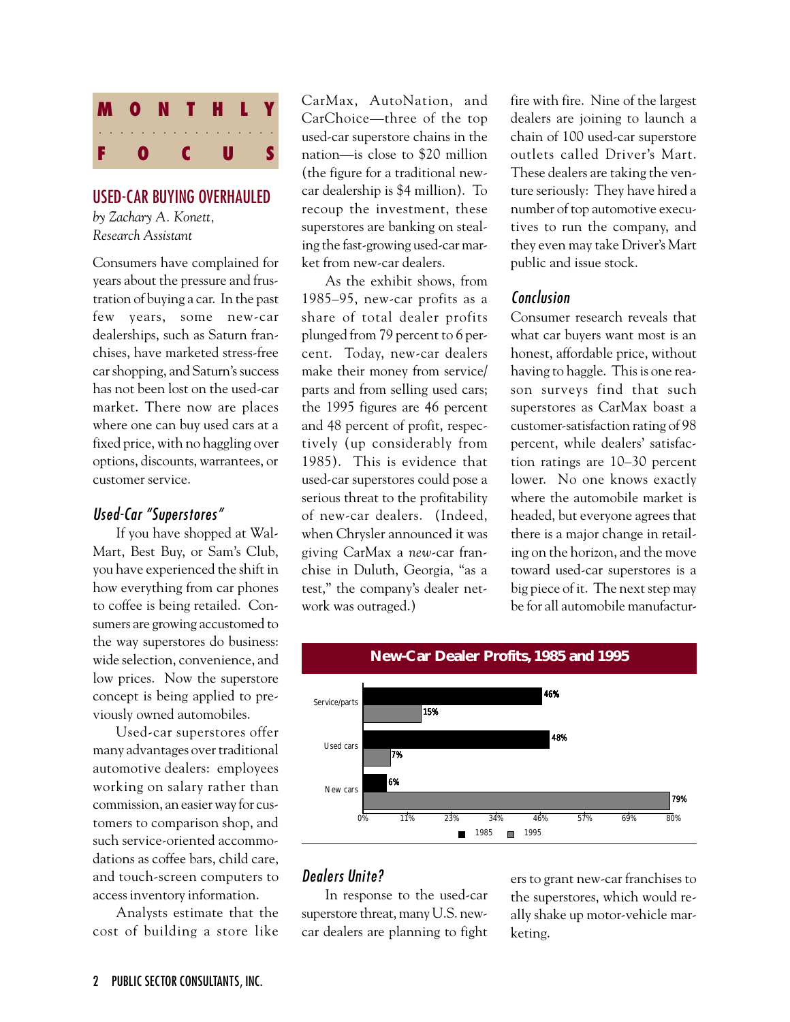

#### USED-CAR BUYING OVERHAULED *by Zachary A. Konett,*

*Research Assistant*

Consumers have complained for years about the pressure and frustration of buying a car. In the past few years, some new-car dealerships, such as Saturn franchises, have marketed stress-free car shopping, and Saturn's success has not been lost on the used-car market. There now are places where one can buy used cars at a fixed price, with no haggling over options, discounts, warrantees, or customer service.

#### Used-Car "Superstores"

If you have shopped at Wal-Mart, Best Buy, or Sam's Club, you have experienced the shift in how everything from car phones to coffee is being retailed. Consumers are growing accustomed to the way superstores do business: wide selection, convenience, and low prices. Now the superstore concept is being applied to previously owned automobiles.

Used-car superstores offer many advantages over traditional automotive dealers: employees working on salary rather than commission, an easier way for customers to comparison shop, and such service-oriented accommodations as coffee bars, child care, and touch-screen computers to access inventory information.

Analysts estimate that the cost of building a store like

CarMax, AutoNation, and CarChoice—three of the top used-car superstore chains in the nation—is close to \$20 million (the figure for a traditional newcar dealership is \$4 million). To recoup the investment, these superstores are banking on stealing the fast-growing used-car market from new-car dealers.

As the exhibit shows, from 1985–95, new-car profits as a share of total dealer profits plunged from 79 percent to 6 percent. Today, new-car dealers make their money from service/ parts and from selling used cars; the 1995 figures are 46 percent and 48 percent of profit, respectively (up considerably from 1985). This is evidence that used-car superstores could pose a serious threat to the profitability of new-car dealers. (Indeed, when Chrysler announced it was giving CarMax a *new*-car franchise in Duluth, Georgia, "as a test," the company's dealer network was outraged.)

fire with fire. Nine of the largest dealers are joining to launch a chain of 100 used-car superstore outlets called Driver's Mart. These dealers are taking the venture seriously: They have hired a number of top automotive executives to run the company, and they even may take Driver's Mart public and issue stock.

## Conclusion

Consumer research reveals that what car buyers want most is an honest, affordable price, without having to haggle. This is one reason surveys find that such superstores as CarMax boast a customer-satisfaction rating of 98 percent, while dealers' satisfaction ratings are 10–30 percent lower. No one knows exactly where the automobile market is headed, but everyone agrees that there is a major change in retailing on the horizon, and the move toward used-car superstores is a big piece of it. The next step may be for all automobile manufactur-



## Dealers Unite?

In response to the used-car superstore threat, many U.S. newcar dealers are planning to fight ers to grant new-car franchises to the superstores, which would really shake up motor-vehicle marketing.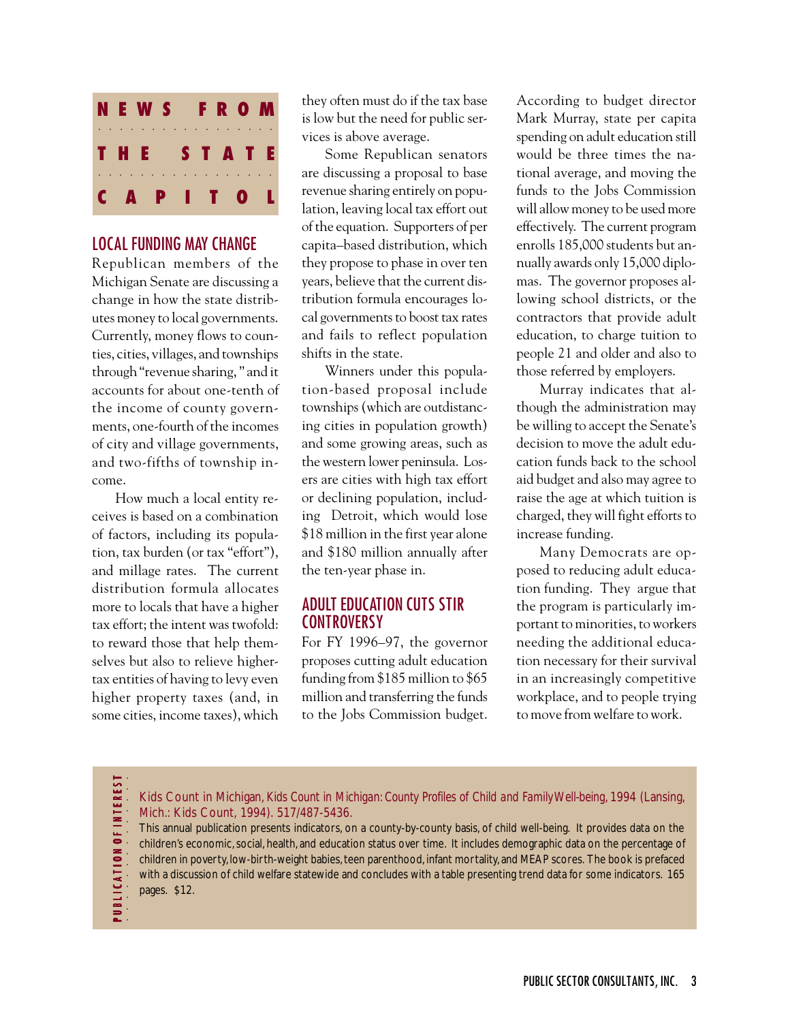

## LOCAL FUNDING MAY CHANGE

Republican members of the Michigan Senate are discussing a change in how the state distributes money to local governments. Currently, money flows to counties, cities, villages, and townships through "revenue sharing, " and it accounts for about one-tenth of the income of county governments, one-fourth of the incomes of city and village governments, and two-fifths of township income.

How much a local entity receives is based on a combination of factors, including its population, tax burden (or tax "effort"), and millage rates. The current distribution formula allocates more to locals that have a higher tax effort; the intent was twofold: to reward those that help themselves but also to relieve highertax entities of having to levy even higher property taxes (and, in some cities, income taxes), which

they often must do if the tax base is low but the need for public services is above average.

Some Republican senators are discussing a proposal to base revenue sharing entirely on population, leaving local tax effort out of the equation. Supporters of per capita–based distribution, which they propose to phase in over ten years, believe that the current distribution formula encourages local governments to boost tax rates and fails to reflect population shifts in the state.

Winners under this population-based proposal include townships (which are outdistancing cities in population growth) and some growing areas, such as the western lower peninsula. Losers are cities with high tax effort or declining population, including Detroit, which would lose \$18 million in the first year alone and \$180 million annually after the ten-year phase in.

## ADULT EDUCATION CUTS STIR **CONTROVERSY**

For FY 1996–97, the governor proposes cutting adult education funding from \$185 million to \$65 million and transferring the funds to the Jobs Commission budget.

According to budget director Mark Murray, state per capita spending on adult education still would be three times the national average, and moving the funds to the Jobs Commission will allow money to be used more effectively. The current program enrolls 185,000 students but annually awards only 15,000 diplomas. The governor proposes allowing school districts, or the contractors that provide adult education, to charge tuition to people 21 and older and also to those referred by employers.

Murray indicates that although the administration may be willing to accept the Senate's decision to move the adult education funds back to the school aid budget and also may agree to raise the age at which tuition is charged, they will fight efforts to increase funding.

Many Democrats are opposed to reducing adult education funding. They argue that the program is particularly important to minorities, to workers needing the additional education necessary for their survival in an increasingly competitive workplace, and to people trying to move from welfare to work.

**EREST** P U B L I C A T I O N O F I N T E R E S T . . . . . . . . . . . **OFINT PUBLICATION** 

Kids Count in Michigan, *Kids Count in Michigan: County Profiles of Child and Family Well-being*, 1994 (Lansing, Mich.: Kids Count, 1994). 517/487-5436.

This annual publication presents indicators, on a county-by-county basis, of child well-being. It provides data on the children's economic, social, health, and education status over time. It includes demographic data on the percentage of children in poverty, low-birth-weight babies, teen parenthood, infant mortality, and MEAP scores. The book is prefaced with a discussion of child welfare statewide and concludes with a table presenting trend data for some indicators. 165 pages. \$12.